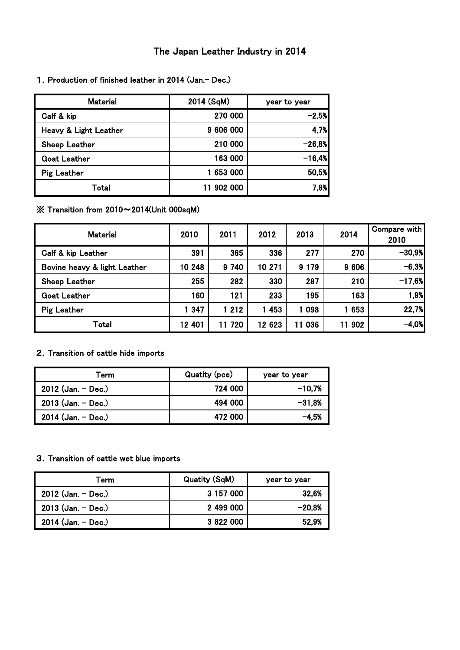# The Japan Leather Industry in 2014

| <b>Material</b>       | 2014 (SqM) | year to year |
|-----------------------|------------|--------------|
| Calf & kip            | 270 000    | $-2,5%$      |
| Heavy & Light Leather | 9 606 000  | 4,7%         |
| Sheep Leather         | 210 000    | $-26,8%$     |
| <b>Goat Leather</b>   | 163 000    | $-16.4%$     |
| <b>Pig Leather</b>    | 653 000    | 50,5%        |
| Total                 | 11 902 000 | 7.8%         |

1. Production of finished leather in 2014 (Jan.- Dec.)

※ Transition from 2010~2014(Unit 000sqM)

| <b>Material</b>              | 2010   | 2011      | 2012   | 2013    | 2014      | Compare with<br>2010 |
|------------------------------|--------|-----------|--------|---------|-----------|----------------------|
| Calf & kip Leather           | 391    | 365       | 336    | 277     | 270       | $-30,9%$             |
| Bovine heavy & light Leather | 10 248 | 9 740     | 10 271 | 9 1 7 9 | 9 6 0 6   | $-6,3%$              |
| Sheep Leather                | 255    | 282       | 330    | 287     | 210       | $-17,6%$             |
| <b>Goat Leather</b>          | 160    | 121       | 233    | 195     | 163       | 1,9%                 |
| <b>Pig Leather</b>           | 1 347  | 1 2 1 2   | 1 453  | 1 098   | 653       | 22,7%                |
| Total                        | 12 401 | 720<br>11 | 12 623 | 11 036  | 902<br>11 | $-4,0%$              |

# 2.Transition of cattle hide imports

| Term                 | Quatity (pce) | year to year |
|----------------------|---------------|--------------|
| $2012$ (Jan. - Dec.) | 724 000       | $-10.7%$     |
| 2013 (Jan. - Dec.)   | 494 000       | $-31.8%$     |
| $2014$ (Jan. - Dec.) | 472 000       | $-4.5%$      |

## 3.Transition of cattle wet blue imports

| Term                 | <b>Quatity (SqM)</b> | year to year |
|----------------------|----------------------|--------------|
| 2012 (Jan. - Dec.)   | 3 157 000            | 32.6%        |
| $2013$ (Jan. - Dec.) | 2 499 000            | $-20.8%$     |
| $2014$ (Jan. - Dec.) | 3 822 000            | 52.9%        |